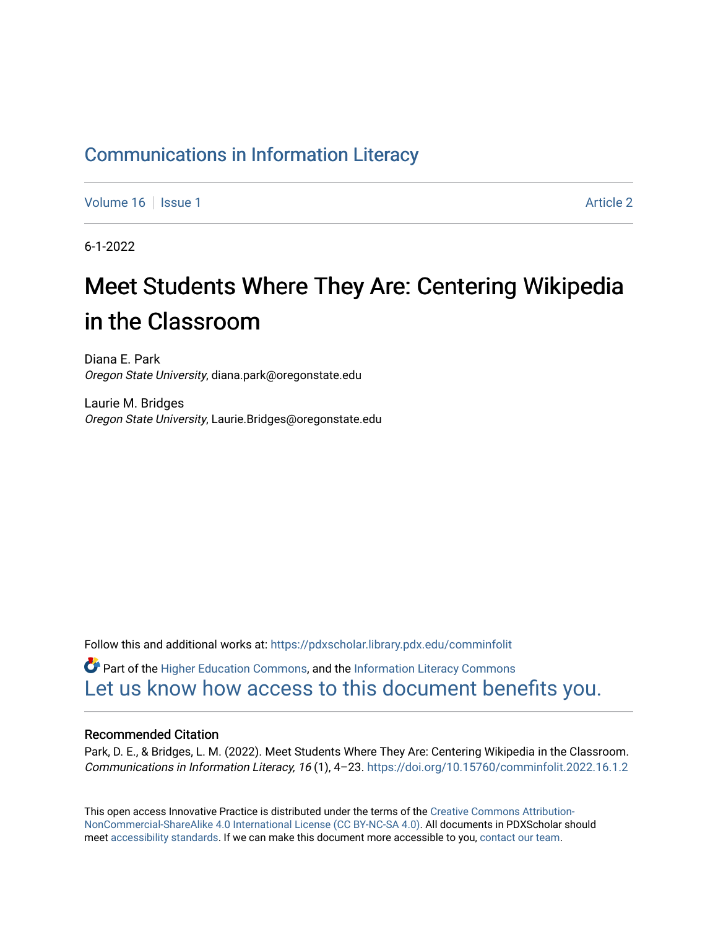## [Communications in Information Literacy](https://pdxscholar.library.pdx.edu/comminfolit)

[Volume 16](https://pdxscholar.library.pdx.edu/comminfolit/vol16) September 19 | [Issue 1](https://pdxscholar.library.pdx.edu/comminfolit/vol16/iss1) Article 2

6-1-2022

# Meet Students Where They Are: Centering Wikipedia in the Classroom

Diana E. Park Oregon State University, diana.park@oregonstate.edu

Laurie M. Bridges Oregon State University, Laurie.Bridges@oregonstate.edu

Follow this and additional works at: [https://pdxscholar.library.pdx.edu/comminfolit](https://pdxscholar.library.pdx.edu/comminfolit?utm_source=pdxscholar.library.pdx.edu%2Fcomminfolit%2Fvol16%2Fiss1%2F2&utm_medium=PDF&utm_campaign=PDFCoverPages) 

Part of the [Higher Education Commons,](https://network.bepress.com/hgg/discipline/1245?utm_source=pdxscholar.library.pdx.edu%2Fcomminfolit%2Fvol16%2Fiss1%2F2&utm_medium=PDF&utm_campaign=PDFCoverPages) and the [Information Literacy Commons](https://network.bepress.com/hgg/discipline/1243?utm_source=pdxscholar.library.pdx.edu%2Fcomminfolit%2Fvol16%2Fiss1%2F2&utm_medium=PDF&utm_campaign=PDFCoverPages)  [Let us know how access to this document benefits you.](http://library.pdx.edu/services/pdxscholar-services/pdxscholar-feedback/) 

#### Recommended Citation

Park, D. E., & Bridges, L. M. (2022). Meet Students Where They Are: Centering Wikipedia in the Classroom. Communications in Information Literacy, 16 (1), 4–23.<https://doi.org/10.15760/comminfolit.2022.16.1.2>

This open access Innovative Practice is distributed under the terms of the [Creative Commons Attribution-](https://creativecommons.org/licenses/by-nc-sa/4.0/)[NonCommercial-ShareAlike 4.0 International License \(CC BY-NC-SA 4.0\)](https://creativecommons.org/licenses/by-nc-sa/4.0/). All documents in PDXScholar should meet [accessibility standards](https://pdxscholar.library.pdx.edu/accessibility.html). If we can make this document more accessible to you, [contact our team.](mailto:pdxscholar@pdx.edu)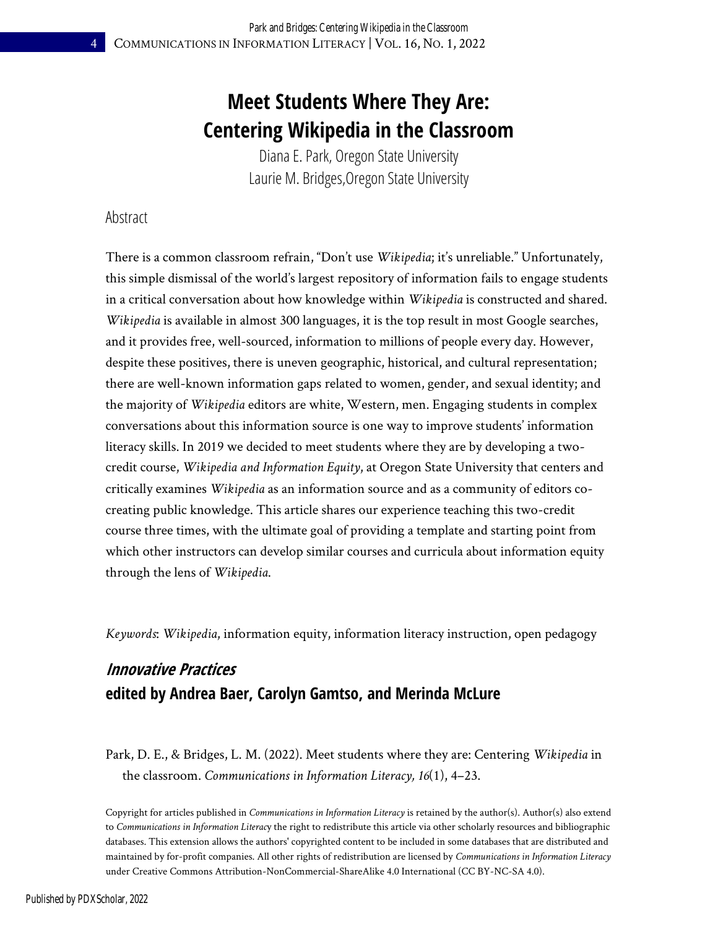## **Meet Students Where They Are: Centering Wikipedia in the Classroom**

Diana E. Park, Oregon State University Laurie M. Bridges,Oregon State University

### Abstract

There is a common classroom refrain, "Don't use *Wikipedia*; it's unreliable." Unfortunately, this simple dismissal of the world's largest repository of information fails to engage students in a critical conversation about how knowledge within *Wikipedia* is constructed and shared. *Wikipedia* is available in almost 300 languages, it is the top result in most Google searches, and it provides free, well-sourced, information to millions of people every day. However, despite these positives, there is uneven geographic, historical, and cultural representation; there are well-known information gaps related to women, gender, and sexual identity; and the majority of *Wikipedia* editors are white, Western, men. Engaging students in complex conversations about this information source is one way to improve students' information literacy skills. In 2019 we decided to meet students where they are by developing a twocredit course, *Wikipedia and Information Equity*, at Oregon State University that centers and critically examines *Wikipedia* as an information source and as a community of editors cocreating public knowledge. This article shares our experience teaching this two-credit course three times, with the ultimate goal of providing a template and starting point from which other instructors can develop similar courses and curricula about information equity through the lens of *Wikipedia*.

*Keywords*: *Wikipedia*, information equity, information literacy instruction, open pedagogy

## **Innovative Practices edited by Andrea Baer, Carolyn Gamtso, and Merinda McLure**

Park, D. E., & Bridges, L. M. (2022). Meet students where they are: Centering *Wikipedia* in the classroom. *Communications in Information Literacy, 16*(1), 4–23.

Copyright for articles published in *Communications in Information Literacy* is retained by the author(s). Author(s) also extend to *Communications in Information Literac*y the right to redistribute this article via other scholarly resources and bibliographic databases. This extension allows the authors' copyrighted content to be included in some databases that are distributed and maintained by for-profit companies. All other rights of redistribution are licensed by *Communications in Information Literacy* under Creative Commons Attribution-NonCommercial-ShareAlike 4.0 International (CC BY-NC-SA 4.0).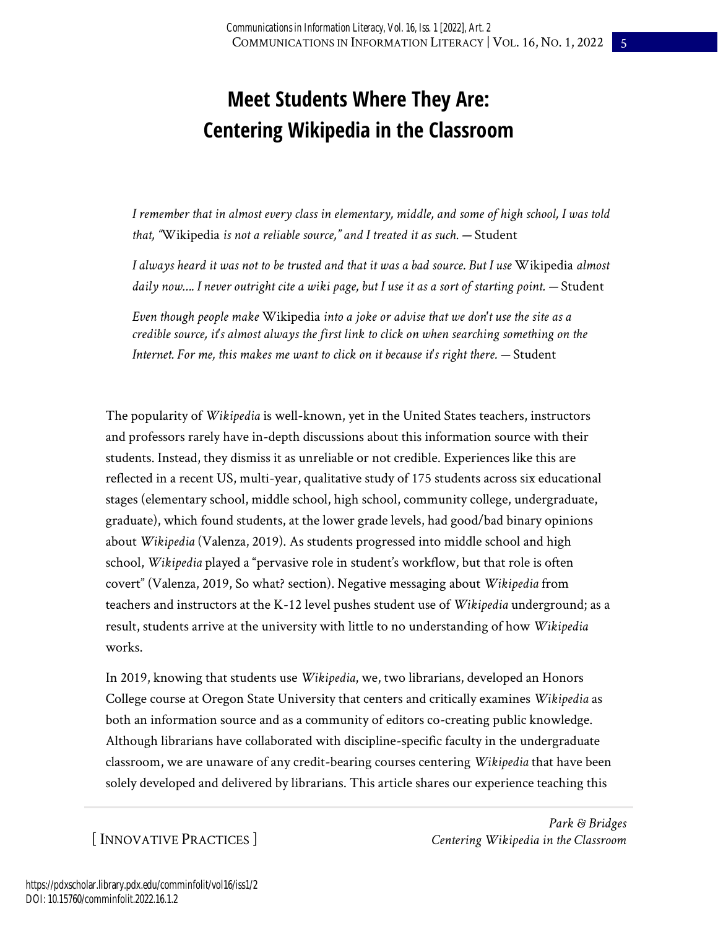## **Meet Students Where They Are: Centering Wikipedia in the Classroom**

*I remember that in almost every class in elementary, middle, and some of high school, I was told that, "*Wikipedia *is not a reliable source," and I treated it as such. —* Student

*I always heard it was not to be trusted and that it was a bad source. But I use* Wikipedia *almost daily now…. I never outright cite a wiki page, but I use it as a sort of starting point. —* Student

*Even though people make* Wikipedia *into a joke or advise that we don't use the site as a credible source, it's almost always the first link to click on when searching something on the Internet. For me, this makes me want to click on it because it's right there. — Student* 

The popularity of *Wikipedia* is well-known, yet in the United States teachers, instructors and professors rarely have in-depth discussions about this information source with their students. Instead, they dismiss it as unreliable or not credible. Experiences like this are reflected in a recent US, multi-year, qualitative study of 175 students across six educational stages (elementary school, middle school, high school, community college, undergraduate, graduate), which found students, at the lower grade levels, had good/bad binary opinions about *Wikipedia* (Valenza, 2019). As students progressed into middle school and high school, *Wikipedia* played a "pervasive role in student's workflow, but that role is often covert" (Valenza, 2019, So what? section). Negative messaging about *Wikipedia* from teachers and instructors at the K-12 level pushes student use of *Wikipedia* underground; as a result, students arrive at the university with little to no understanding of how *Wikipedia* works.

In 2019, knowing that students use *Wikipedia*, we, two librarians, developed an Honors College course at Oregon State University that centers and critically examines *Wikipedia* as both an information source and as a community of editors co-creating public knowledge. Although librarians have collaborated with discipline-specific faculty in the undergraduate classroom, we are unaware of any credit-bearing courses centering *Wikipedia* that have been solely developed and delivered by librarians. This article shares our experience teaching this

[ INNOVATIVE PRACTICES ]

*Park & Bridges Centering Wikipedia in the Classroom*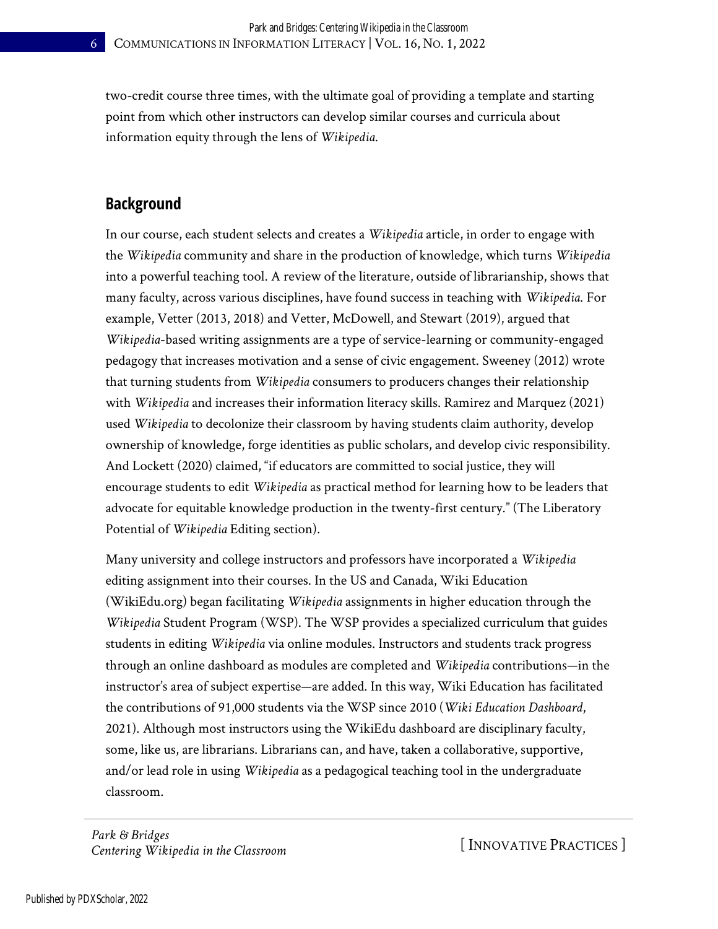two-credit course three times, with the ultimate goal of providing a template and starting point from which other instructors can develop similar courses and curricula about information equity through the lens of *Wikipedia*.

### **Background**

In our course, each student selects and creates a *Wikipedia* article, in order to engage with the *Wikipedia* community and share in the production of knowledge, which turns *Wikipedia* into a powerful teaching tool. A review of the literature, outside of librarianship, shows that many faculty, across various disciplines, have found success in teaching with *Wikipedia*. For example, Vetter (2013, 2018) and Vetter, McDowell, and Stewart (2019), argued that *Wikipedia*-based writing assignments are a type of service-learning or community-engaged pedagogy that increases motivation and a sense of civic engagement. Sweeney (2012) wrote that turning students from *Wikipedia* consumers to producers changes their relationship with *Wikipedia* and increases their information literacy skills. Ramirez and Marquez (2021) used *Wikipedia* to decolonize their classroom by having students claim authority, develop ownership of knowledge, forge identities as public scholars, and develop civic responsibility. And Lockett (2020) claimed, "if educators are committed to social justice, they will encourage students to edit *Wikipedia* as practical method for learning how to be leaders that advocate for equitable knowledge production in the twenty-first century." (The Liberatory Potential of *Wikipedia* Editing section).

Many university and college instructors and professors have incorporated a *Wikipedia* editing assignment into their courses. In the US and Canada, Wiki Education (WikiEdu.org) began facilitating *Wikipedia* assignments in higher education through the *Wikipedia* Student Program (WSP). The WSP provides a specialized curriculum that guides students in editing *Wikipedia* via online modules. Instructors and students track progress through an online dashboard as modules are completed and *Wikipedia* contributions—in the instructor's area of subject expertise—are added. In this way, Wiki Education has facilitated the contributions of 91,000 students via the WSP since 2010 (*Wiki Education Dashboard*, 2021). Although most instructors using the WikiEdu dashboard are disciplinary faculty, some, like us, are librarians. Librarians can, and have, taken a collaborative, supportive, and/or lead role in using *Wikipedia* as a pedagogical teaching tool in the undergraduate classroom.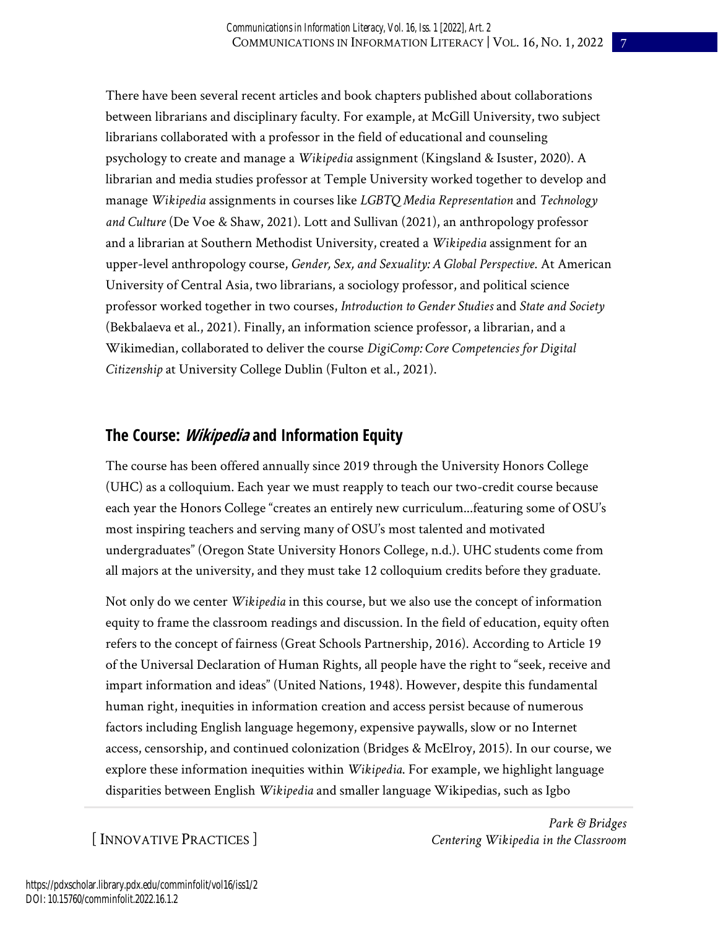There have been several recent articles and book chapters published about collaborations between librarians and disciplinary faculty. For example, at McGill University, two subject librarians collaborated with a professor in the field of educational and counseling psychology to create and manage a *Wikipedia* assignment (Kingsland & Isuster, 2020). A librarian and media studies professor at Temple University worked together to develop and manage *Wikipedia* assignments in courses like *LGBTQ Media Representation* and *Technology and Culture* (De Voe & Shaw, 2021). Lott and Sullivan (2021), an anthropology professor and a librarian at Southern Methodist University, created a *Wikipedia* assignment for an upper-level anthropology course, *Gender, Sex, and Sexuality: A Global Perspective*. At American University of Central Asia, two librarians, a sociology professor, and political science professor worked together in two courses, *Introduction to Gender Studies* and *State and Society* (Bekbalaeva et al., 2021). Finally, an information science professor, a librarian, and a Wikimedian, collaborated to deliver the course *DigiComp: Core Competencies for Digital Citizenship* at University College Dublin (Fulton et al., 2021).

## **The Course: Wikipedia and Information Equity**

The course has been offered annually since 2019 through the University Honors College (UHC) as a colloquium. Each year we must reapply to teach our two-credit course because each year the Honors College "creates an entirely new curriculum...featuring some of OSU's most inspiring teachers and serving many of OSU's most talented and motivated undergraduates" (Oregon State University Honors College, n.d.). UHC students come from all majors at the university, and they must take 12 colloquium credits before they graduate.

Not only do we center *Wikipedia* in this course, but we also use the concept of information equity to frame the classroom readings and discussion. In the field of education, equity often refers to the concept of fairness (Great Schools Partnership, 2016). According to Article 19 of the Universal Declaration of Human Rights, all people have the right to "seek, receive and impart information and ideas" (United Nations, 1948). However, despite this fundamental human right, inequities in information creation and access persist because of numerous factors including English language hegemony, expensive paywalls, slow or no Internet access, censorship, and continued colonization (Bridges & McElroy, 2015). In our course, we explore these information inequities within *Wikipedia*. For example, we highlight language disparities between English *Wikipedia* and smaller language Wikipedias, such as Igbo

[ INNOVATIVE PRACTICES ]

*Park & Bridges Centering Wikipedia in the Classroom*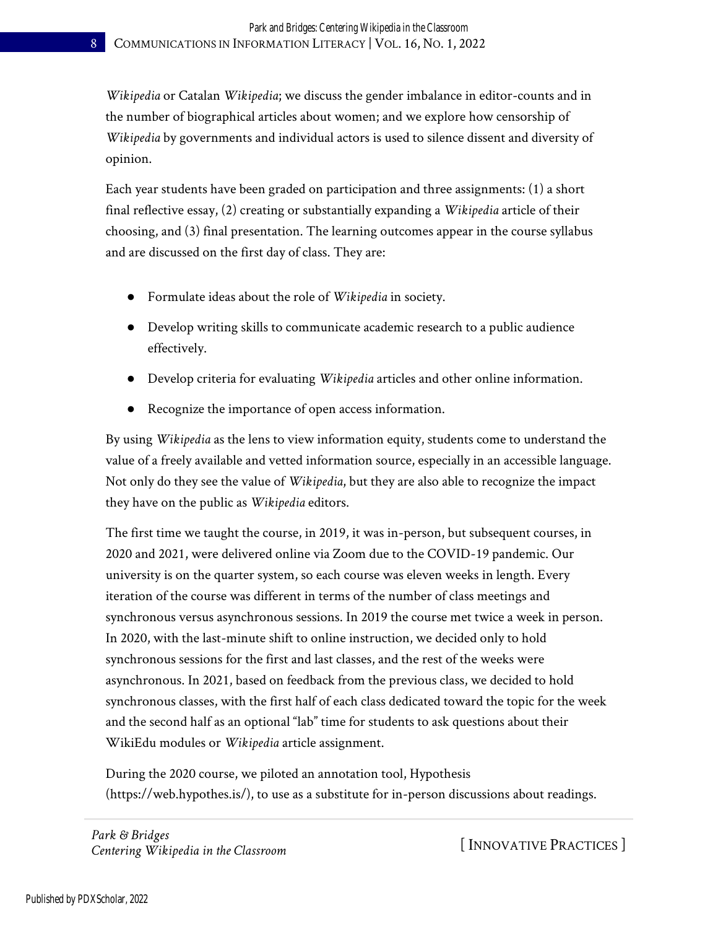*Wikipedia* or Catalan *Wikipedia*; we discuss the gender imbalance in editor-counts and in the number of biographical articles about women; and we explore how censorship of *Wikipedia* by governments and individual actors is used to silence dissent and diversity of opinion.

Each year students have been graded on participation and three assignments: (1) a short final reflective essay, (2) creating or substantially expanding a *Wikipedia* article of their choosing, and (3) final presentation. The learning outcomes appear in the course syllabus and are discussed on the first day of class. They are:

- Formulate ideas about the role of *Wikipedia* in society.
- Develop writing skills to communicate academic research to a public audience effectively.
- Develop criteria for evaluating *Wikipedia* articles and other online information.
- Recognize the importance of open access information.

By using *Wikipedia* as the lens to view information equity, students come to understand the value of a freely available and vetted information source, especially in an accessible language. Not only do they see the value of *Wikipedia*, but they are also able to recognize the impact they have on the public as *Wikipedia* editors.

The first time we taught the course, in 2019, it was in-person, but subsequent courses, in 2020 and 2021, were delivered online via Zoom due to the COVID-19 pandemic. Our university is on the quarter system, so each course was eleven weeks in length. Every iteration of the course was different in terms of the number of class meetings and synchronous versus asynchronous sessions. In 2019 the course met twice a week in person. In 2020, with the last-minute shift to online instruction, we decided only to hold synchronous sessions for the first and last classes, and the rest of the weeks were asynchronous. In 2021, based on feedback from the previous class, we decided to hold synchronous classes, with the first half of each class dedicated toward the topic for the week and the second half as an optional "lab" time for students to ask questions about their WikiEdu modules or *Wikipedia* article assignment.

During the 2020 course, we piloted an annotation tool, Hypothesis (https://web.hypothes.is/), to use as a substitute for in-person discussions about readings.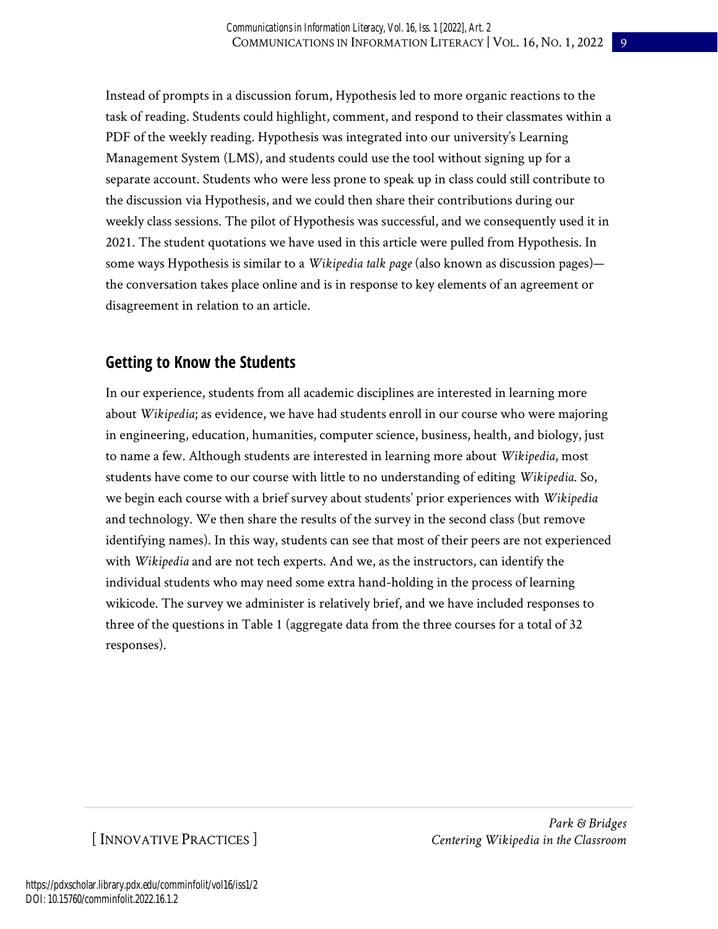Instead of prompts in a discussion forum, Hypothesis led to more organic reactions to the task of reading. Students could highlight, comment, and respond to their classmates within a PDF of the weekly reading. Hypothesis was integrated into our university's Learning Management System (LMS), and students could use the tool without signing up for a separate account. Students who were less prone to speak up in class could still contribute to the discussion via Hypothesis, and we could then share their contributions during our weekly class sessions. The pilot of Hypothesis was successful, and we consequently used it in 2021. The student quotations we have used in this article were pulled from Hypothesis. In some ways Hypothesis is similar to a *Wikipedia talk page* (also known as discussion pages) the conversation takes place online and is in response to key elements of an agreement or disagreement in relation to an article.

## **Getting to Know the Students**

In our experience, students from all academic disciplines are interested in learning more about *Wikipedia*; as evidence, we have had students enroll in our course who were majoring in engineering, education, humanities, computer science, business, health, and biology, just to name a few. Although students are interested in learning more about *Wikipedia*, most students have come to our course with little to no understanding of editing *Wikipedia*. So, we begin each course with a brief survey about students' prior experiences with *Wikipedia* and technology. We then share the results of the survey in the second class (but remove identifying names). In this way, students can see that most of their peers are not experienced with *Wikipedia* and are not tech experts. And we, as the instructors, can identify the individual students who may need some extra hand-holding in the process of learning wikicode. The survey we administer is relatively brief, and we have included responses to three of the questions in Table 1 (aggregate data from the three courses for a total of 32 responses).

## [ INNOVATIVE PRACTICES ]

*Park & Bridges Centering Wikipedia in the Classroom*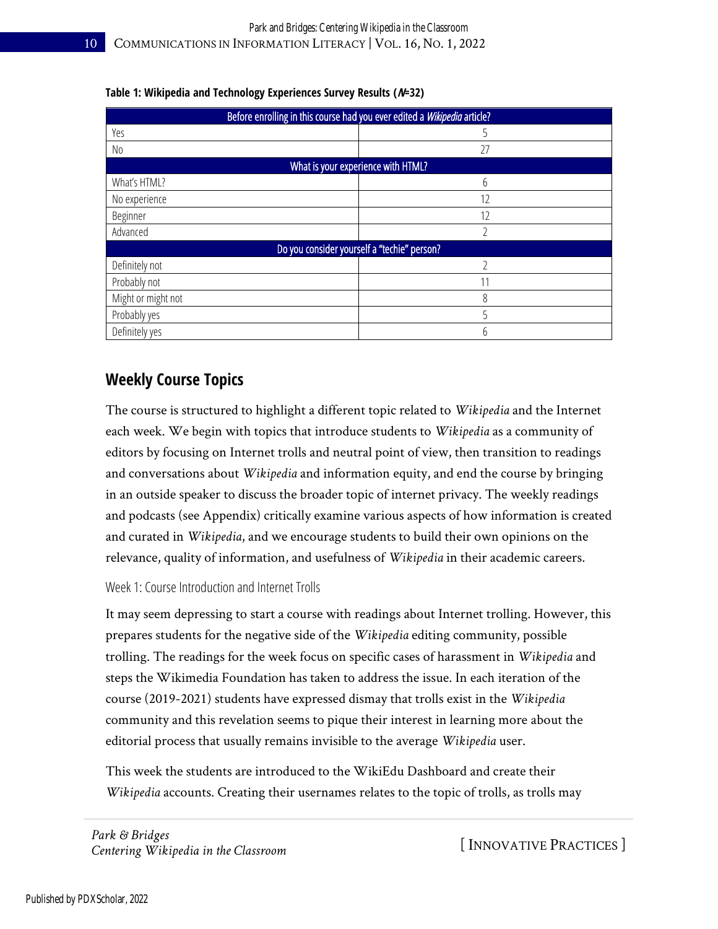| Before enrolling in this course had you ever edited a Wikipedia article? |                                             |
|--------------------------------------------------------------------------|---------------------------------------------|
| Yes                                                                      |                                             |
| No.                                                                      | 27                                          |
|                                                                          | What is your experience with HTML?          |
| What's HTML?                                                             | 6                                           |
| No experience                                                            | 12                                          |
| Beginner                                                                 | 12                                          |
| Advanced                                                                 | C                                           |
|                                                                          | Do you consider yourself a "techie" person? |
| Definitely not                                                           |                                             |
| Probably not                                                             | 11                                          |
| Might or might not                                                       | 8                                           |
| Probably yes                                                             | 5                                           |
| Definitely yes                                                           | 6                                           |

#### **Table 1: Wikipedia and Technology Experiences Survey Results (N=32)**

## **Weekly Course Topics**

The course is structured to highlight a different topic related to *Wikipedia* and the Internet each week. We begin with topics that introduce students to *Wikipedia* as a community of editors by focusing on Internet trolls and neutral point of view, then transition to readings and conversations about *Wikipedia* and information equity, and end the course by bringing in an outside speaker to discuss the broader topic of internet privacy. The weekly readings and podcasts (see Appendix) critically examine various aspects of how information is created and curated in *Wikipedia*, and we encourage students to build their own opinions on the relevance, quality of information, and usefulness of *Wikipedia* in their academic careers.

Week 1: Course Introduction and Internet Trolls

It may seem depressing to start a course with readings about Internet trolling. However, this prepares students for the negative side of the *Wikipedia* editing community, possible trolling. The readings for the week focus on specific cases of harassment in *Wikipedia* and steps the Wikimedia Foundation has taken to address the issue. In each iteration of the course (2019-2021) students have expressed dismay that trolls exist in the *Wikipedia* community and this revelation seems to pique their interest in learning more about the editorial process that usually remains invisible to the average *Wikipedia* user.

This week the students are introduced to the WikiEdu Dashboard and create their *Wikipedia* accounts. Creating their usernames relates to the topic of trolls, as trolls may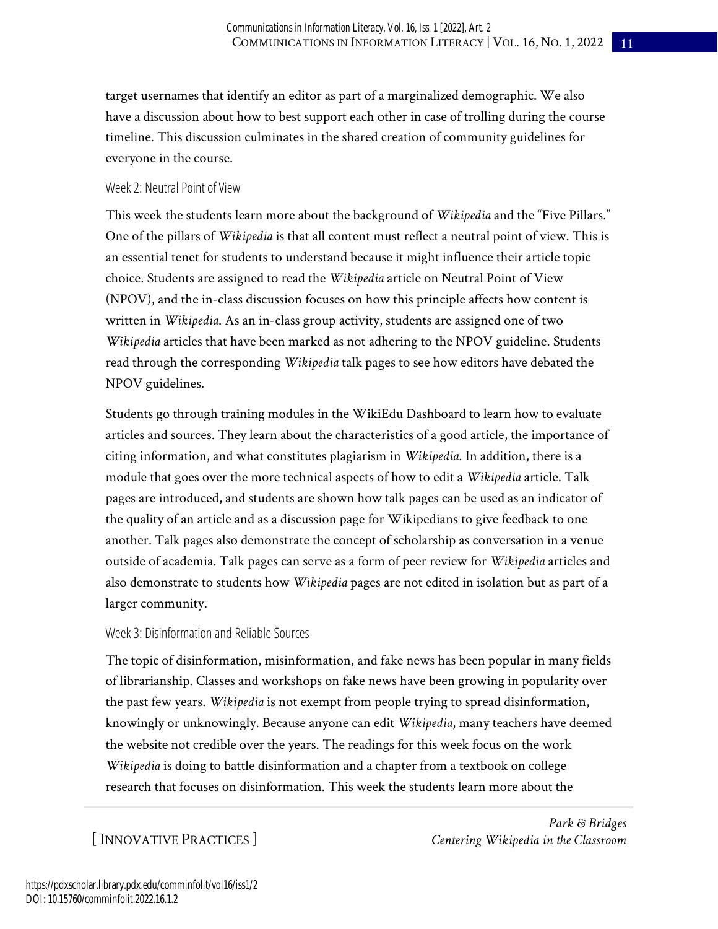target usernames that identify an editor as part of a marginalized demographic. We also have a discussion about how to best support each other in case of trolling during the course timeline. This discussion culminates in the shared creation of community guidelines for everyone in the course.

#### Week 2: Neutral Point of View

This week the students learn more about the background of *Wikipedia* and the "Five Pillars." One of the pillars of *Wikipedia* is that all content must reflect a neutral point of view. This is an essential tenet for students to understand because it might influence their article topic choice. Students are assigned to read the *Wikipedia* article on Neutral Point of View (NPOV), and the in-class discussion focuses on how this principle affects how content is written in *Wikipedia*. As an in-class group activity, students are assigned one of two *Wikipedia* articles that have been marked as not adhering to the NPOV guideline. Students read through the corresponding *Wikipedia* talk pages to see how editors have debated the NPOV guidelines.

Students go through training modules in the WikiEdu Dashboard to learn how to evaluate articles and sources. They learn about the characteristics of a good article, the importance of citing information, and what constitutes plagiarism in *Wikipedia*. In addition, there is a module that goes over the more technical aspects of how to edit a *Wikipedia* article. Talk pages are introduced, and students are shown how talk pages can be used as an indicator of the quality of an article and as a discussion page for Wikipedians to give feedback to one another. Talk pages also demonstrate the concept of scholarship as conversation in a venue outside of academia. Talk pages can serve as a form of peer review for *Wikipedia* articles and also demonstrate to students how *Wikipedia* pages are not edited in isolation but as part of a larger community.

#### Week 3: Disinformation and Reliable Sources

The topic of disinformation, misinformation, and fake news has been popular in many fields of librarianship. Classes and workshops on fake news have been growing in popularity over the past few years. *Wikipedia* is not exempt from people trying to spread disinformation, knowingly or unknowingly. Because anyone can edit *Wikipedia*, many teachers have deemed the website not credible over the years. The readings for this week focus on the work *Wikipedia* is doing to battle disinformation and a chapter from a textbook on college research that focuses on disinformation. This week the students learn more about the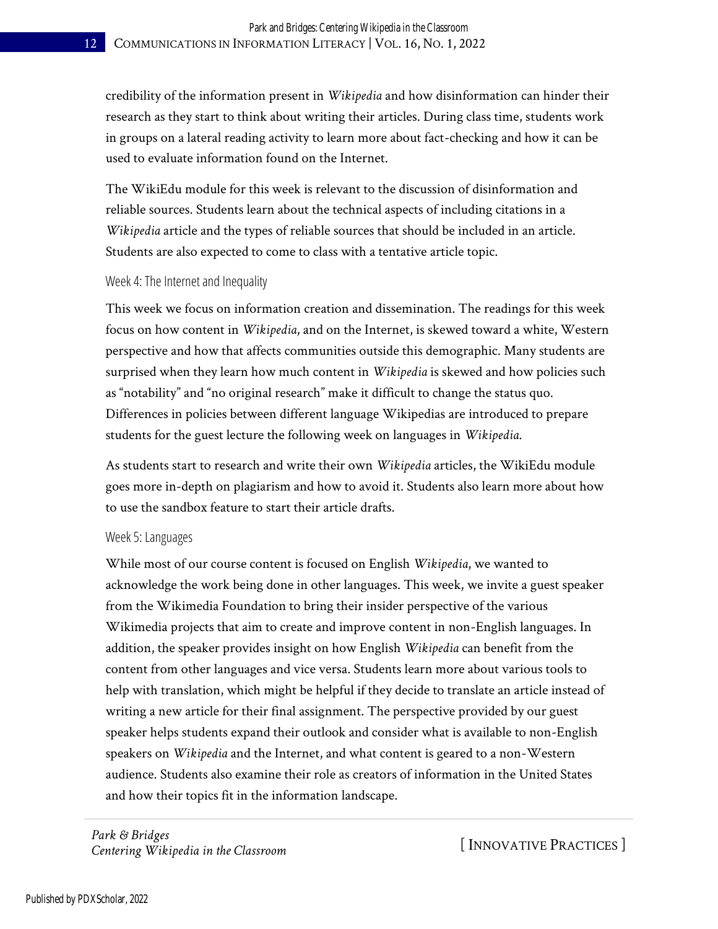credibility of the information present in *Wikipedia* and how disinformation can hinder their research as they start to think about writing their articles. During class time, students work in groups on a lateral reading activity to learn more about fact-checking and how it can be used to evaluate information found on the Internet.

The WikiEdu module for this week is relevant to the discussion of disinformation and reliable sources. Students learn about the technical aspects of including citations in a *Wikipedia* article and the types of reliable sources that should be included in an article. Students are also expected to come to class with a tentative article topic.

#### Week 4: The Internet and Inequality

This week we focus on information creation and dissemination. The readings for this week focus on how content in *Wikipedia*, and on the Internet, is skewed toward a white, Western perspective and how that affects communities outside this demographic. Many students are surprised when they learn how much content in *Wikipedia* is skewed and how policies such as "notability" and "no original research" make it difficult to change the status quo. Differences in policies between different language Wikipedias are introduced to prepare students for the guest lecture the following week on languages in *Wikipedia*.

As students start to research and write their own *Wikipedia* articles, the WikiEdu module goes more in-depth on plagiarism and how to avoid it. Students also learn more about how to use the sandbox feature to start their article drafts.

#### Week 5: Languages

While most of our course content is focused on English *Wikipedia*, we wanted to acknowledge the work being done in other languages. This week, we invite a guest speaker from the Wikimedia Foundation to bring their insider perspective of the various Wikimedia projects that aim to create and improve content in non-English languages. In addition, the speaker provides insight on how English *Wikipedia* can benefit from the content from other languages and vice versa. Students learn more about various tools to help with translation, which might be helpful if they decide to translate an article instead of writing a new article for their final assignment. The perspective provided by our guest speaker helps students expand their outlook and consider what is available to non-English speakers on *Wikipedia* and the Internet, and what content is geared to a non-Western audience. Students also examine their role as creators of information in the United States and how their topics fit in the information landscape.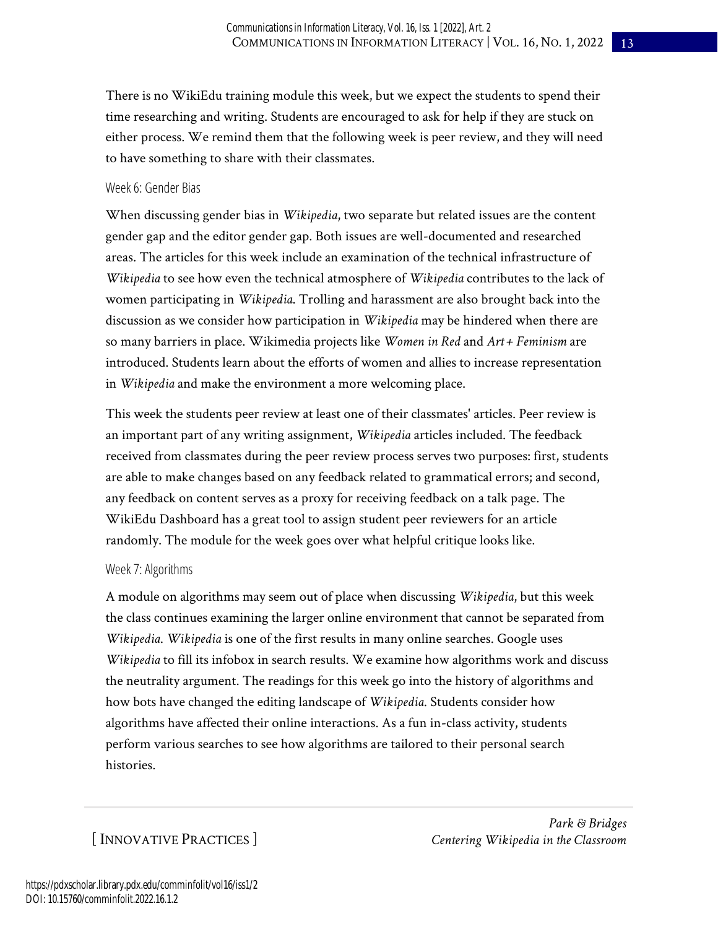There is no WikiEdu training module this week, but we expect the students to spend their time researching and writing. Students are encouraged to ask for help if they are stuck on either process. We remind them that the following week is peer review, and they will need to have something to share with their classmates.

#### Week 6: Gender Bias

When discussing gender bias in *Wikipedia*, two separate but related issues are the content gender gap and the editor gender gap. Both issues are well-documented and researched areas. The articles for this week include an examination of the technical infrastructure of *Wikipedia* to see how even the technical atmosphere of *Wikipedia* contributes to the lack of women participating in *Wikipedia*. Trolling and harassment are also brought back into the discussion as we consider how participation in *Wikipedia* may be hindered when there are so many barriers in place. Wikimedia projects like *Women in Red* and *Art + Feminism* are introduced. Students learn about the efforts of women and allies to increase representation in *Wikipedia* and make the environment a more welcoming place.

This week the students peer review at least one of their classmates' articles. Peer review is an important part of any writing assignment, *Wikipedia* articles included. The feedback received from classmates during the peer review process serves two purposes: first, students are able to make changes based on any feedback related to grammatical errors; and second, any feedback on content serves as a proxy for receiving feedback on a talk page. The WikiEdu Dashboard has a great tool to assign student peer reviewers for an article randomly. The module for the week goes over what helpful critique looks like.

#### Week 7: Algorithms

A module on algorithms may seem out of place when discussing *Wikipedia*, but this week the class continues examining the larger online environment that cannot be separated from *Wikipedia*. *Wikipedia* is one of the first results in many online searches. Google uses *Wikipedia* to fill its infobox in search results. We examine how algorithms work and discuss the neutrality argument. The readings for this week go into the history of algorithms and how bots have changed the editing landscape of *Wikipedia*. Students consider how algorithms have affected their online interactions. As a fun in-class activity, students perform various searches to see how algorithms are tailored to their personal search histories.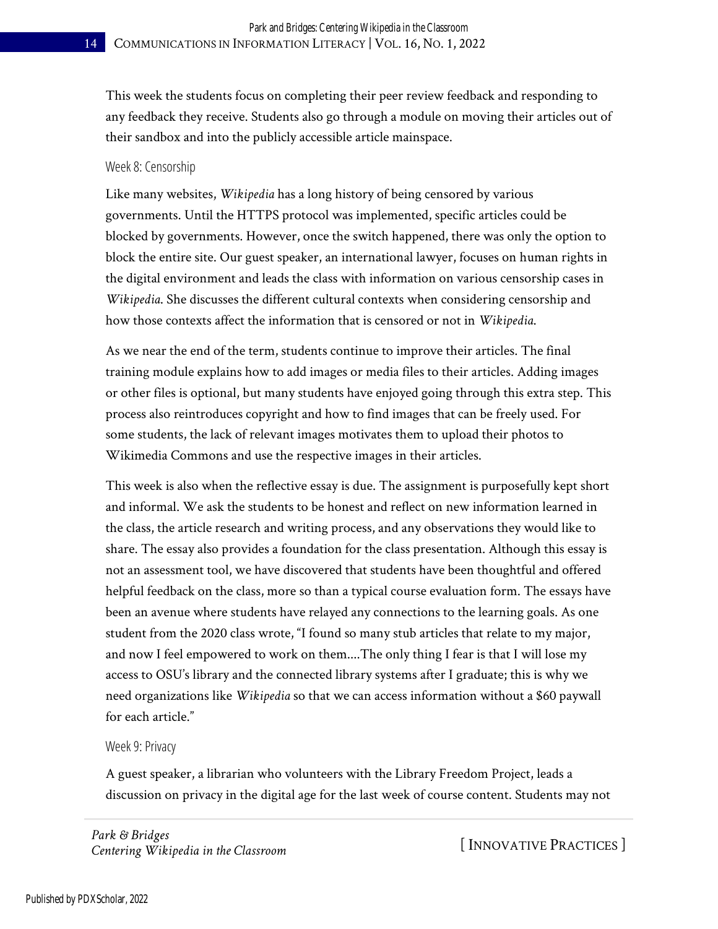This week the students focus on completing their peer review feedback and responding to any feedback they receive. Students also go through a module on moving their articles out of their sandbox and into the publicly accessible article mainspace.

#### Week 8: Censorship

Like many websites, *Wikipedia* has a long history of being censored by various governments. Until the HTTPS protocol was implemented, specific articles could be blocked by governments. However, once the switch happened, there was only the option to block the entire site. Our guest speaker, an international lawyer, focuses on human rights in the digital environment and leads the class with information on various censorship cases in *Wikipedia*. She discusses the different cultural contexts when considering censorship and how those contexts affect the information that is censored or not in *Wikipedia*.

As we near the end of the term, students continue to improve their articles. The final training module explains how to add images or media files to their articles. Adding images or other files is optional, but many students have enjoyed going through this extra step. This process also reintroduces copyright and how to find images that can be freely used. For some students, the lack of relevant images motivates them to upload their photos to Wikimedia Commons and use the respective images in their articles.

This week is also when the reflective essay is due. The assignment is purposefully kept short and informal. We ask the students to be honest and reflect on new information learned in the class, the article research and writing process, and any observations they would like to share. The essay also provides a foundation for the class presentation. Although this essay is not an assessment tool, we have discovered that students have been thoughtful and offered helpful feedback on the class, more so than a typical course evaluation form. The essays have been an avenue where students have relayed any connections to the learning goals. As one student from the 2020 class wrote, "I found so many stub articles that relate to my major, and now I feel empowered to work on them....The only thing I fear is that I will lose my access to OSU's library and the connected library systems after I graduate; this is why we need organizations like *Wikipedia* so that we can access information without a \$60 paywall for each article."

#### Week 9: Privacy

A guest speaker, a librarian who volunteers with the Library Freedom Project, leads a discussion on privacy in the digital age for the last week of course content. Students may not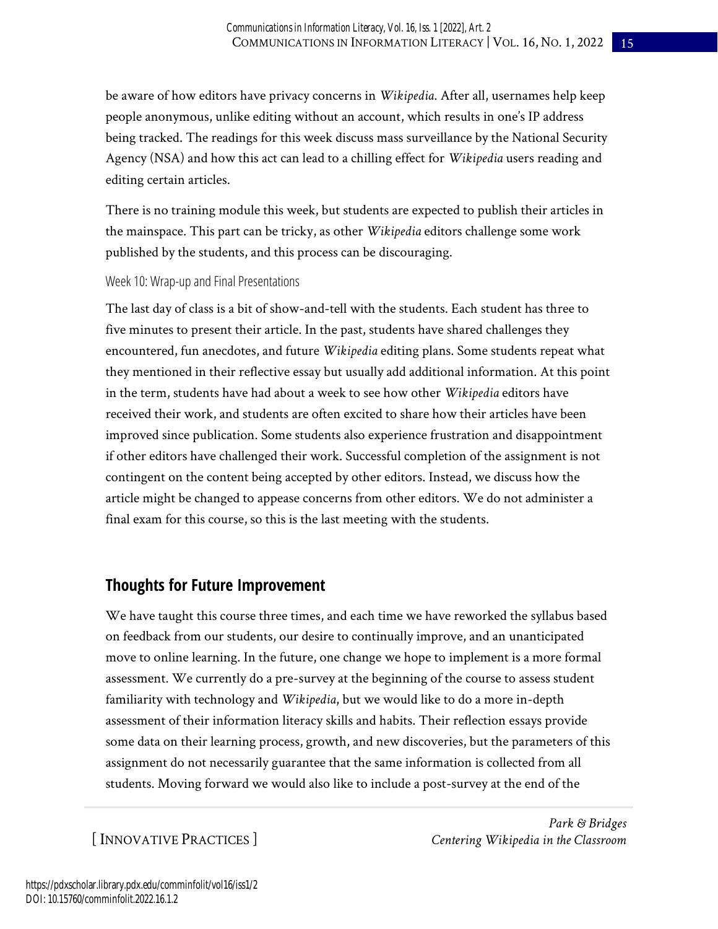be aware of how editors have privacy concerns in *Wikipedia*. After all, usernames help keep people anonymous, unlike editing without an account, which results in one's IP address being tracked. The readings for this week discuss mass surveillance by the National Security Agency (NSA) and how this act can lead to a chilling effect for *Wikipedia* users reading and editing certain articles.

There is no training module this week, but students are expected to publish their articles in the mainspace. This part can be tricky, as other *Wikipedia* editors challenge some work published by the students, and this process can be discouraging.

#### Week 10: Wrap-up and Final Presentations

The last day of class is a bit of show-and-tell with the students. Each student has three to five minutes to present their article. In the past, students have shared challenges they encountered, fun anecdotes, and future *Wikipedia* editing plans. Some students repeat what they mentioned in their reflective essay but usually add additional information. At this point in the term, students have had about a week to see how other *Wikipedia* editors have received their work, and students are often excited to share how their articles have been improved since publication. Some students also experience frustration and disappointment if other editors have challenged their work. Successful completion of the assignment is not contingent on the content being accepted by other editors. Instead, we discuss how the article might be changed to appease concerns from other editors. We do not administer a final exam for this course, so this is the last meeting with the students.

### **Thoughts for Future Improvement**

We have taught this course three times, and each time we have reworked the syllabus based on feedback from our students, our desire to continually improve, and an unanticipated move to online learning. In the future, one change we hope to implement is a more formal assessment. We currently do a pre-survey at the beginning of the course to assess student familiarity with technology and *Wikipedia*, but we would like to do a more in-depth assessment of their information literacy skills and habits. Their reflection essays provide some data on their learning process, growth, and new discoveries, but the parameters of this assignment do not necessarily guarantee that the same information is collected from all students. Moving forward we would also like to include a post-survey at the end of the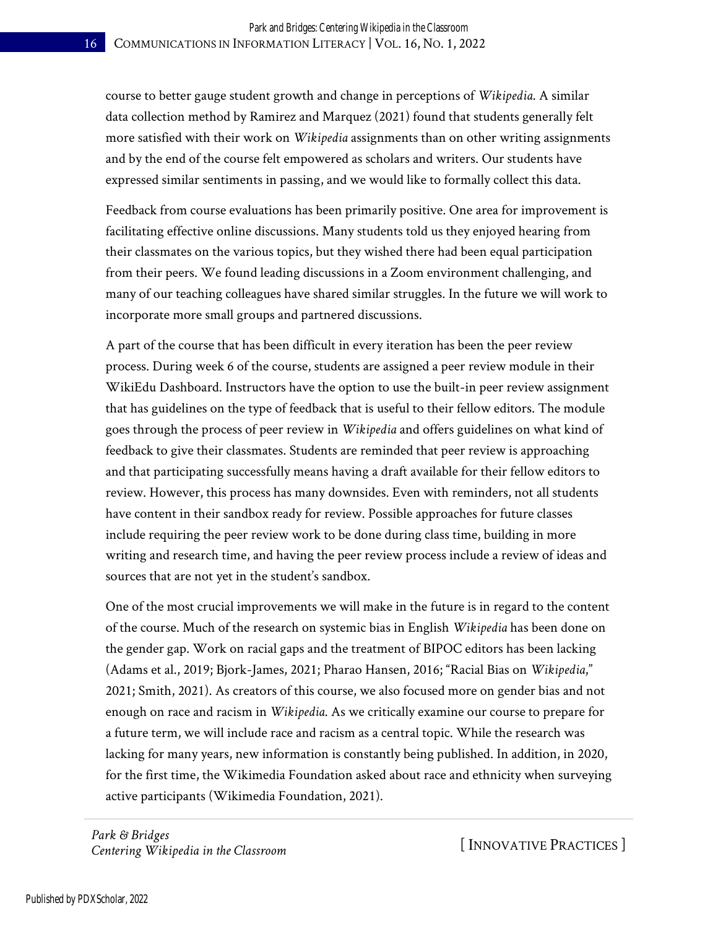course to better gauge student growth and change in perceptions of *Wikipedia*. A similar data collection method by Ramirez and Marquez (2021) found that students generally felt more satisfied with their work on *Wikipedia* assignments than on other writing assignments and by the end of the course felt empowered as scholars and writers. Our students have expressed similar sentiments in passing, and we would like to formally collect this data.

Feedback from course evaluations has been primarily positive. One area for improvement is facilitating effective online discussions. Many students told us they enjoyed hearing from their classmates on the various topics, but they wished there had been equal participation from their peers. We found leading discussions in a Zoom environment challenging, and many of our teaching colleagues have shared similar struggles. In the future we will work to incorporate more small groups and partnered discussions.

A part of the course that has been difficult in every iteration has been the peer review process. During week 6 of the course, students are assigned a peer review module in their WikiEdu Dashboard. Instructors have the option to use the built-in peer review assignment that has guidelines on the type of feedback that is useful to their fellow editors. The module goes through the process of peer review in *Wikipedia* and offers guidelines on what kind of feedback to give their classmates. Students are reminded that peer review is approaching and that participating successfully means having a draft available for their fellow editors to review. However, this process has many downsides. Even with reminders, not all students have content in their sandbox ready for review. Possible approaches for future classes include requiring the peer review work to be done during class time, building in more writing and research time, and having the peer review process include a review of ideas and sources that are not yet in the student's sandbox.

One of the most crucial improvements we will make in the future is in regard to the content of the course. Much of the research on systemic bias in English *Wikipedia* has been done on the gender gap. Work on racial gaps and the treatment of BIPOC editors has been lacking (Adams et al., 2019; Bjork-James, 2021; Pharao Hansen, 2016; "Racial Bias on *Wikipedia*," 2021; Smith, 2021). As creators of this course, we also focused more on gender bias and not enough on race and racism in *Wikipedia*. As we critically examine our course to prepare for a future term, we will include race and racism as a central topic. While the research was lacking for many years, new information is constantly being published. In addition, in 2020, for the first time, the Wikimedia Foundation asked about race and ethnicity when surveying active participants (Wikimedia Foundation, 2021).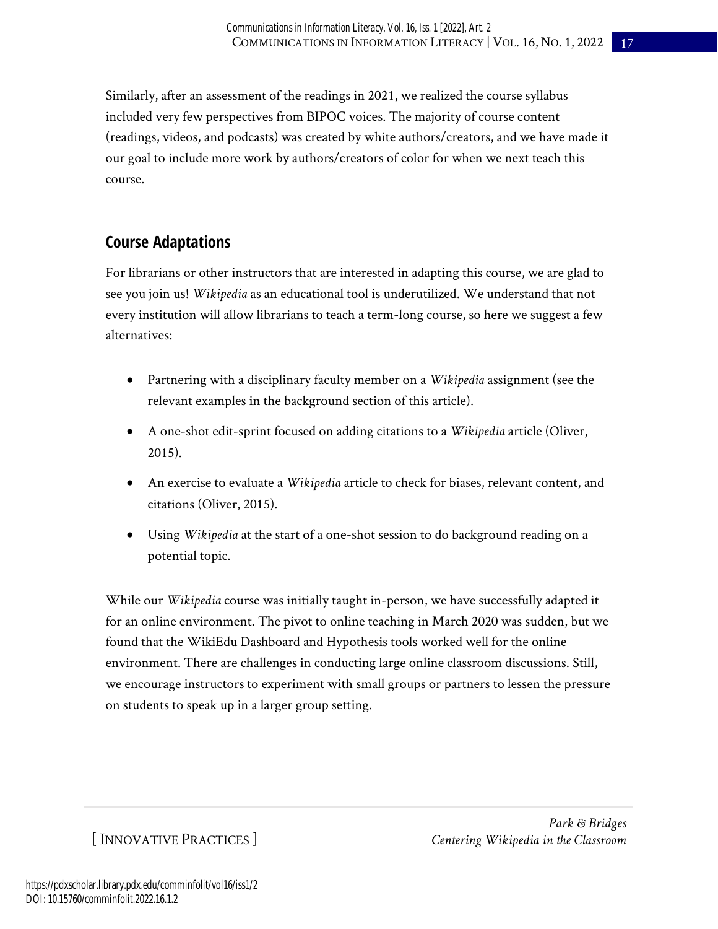Similarly, after an assessment of the readings in 2021, we realized the course syllabus included very few perspectives from BIPOC voices. The majority of course content (readings, videos, and podcasts) was created by white authors/creators, and we have made it our goal to include more work by authors/creators of color for when we next teach this course.

## **Course Adaptations**

For librarians or other instructors that are interested in adapting this course, we are glad to see you join us! *Wikipedia* as an educational tool is underutilized. We understand that not every institution will allow librarians to teach a term-long course, so here we suggest a few alternatives:

- Partnering with a disciplinary faculty member on a *Wikipedia* assignment (see the relevant examples in the background section of this article).
- A one-shot edit-sprint focused on adding citations to a *Wikipedia* article (Oliver, 2015).
- An exercise to evaluate a *Wikipedia* article to check for biases, relevant content, and citations (Oliver, 2015).
- Using *Wikipedia* at the start of a one-shot session to do background reading on a potential topic.

While our *Wikipedia* course was initially taught in-person, we have successfully adapted it for an online environment. The pivot to online teaching in March 2020 was sudden, but we found that the WikiEdu Dashboard and Hypothesis tools worked well for the online environment. There are challenges in conducting large online classroom discussions. Still, we encourage instructors to experiment with small groups or partners to lessen the pressure on students to speak up in a larger group setting.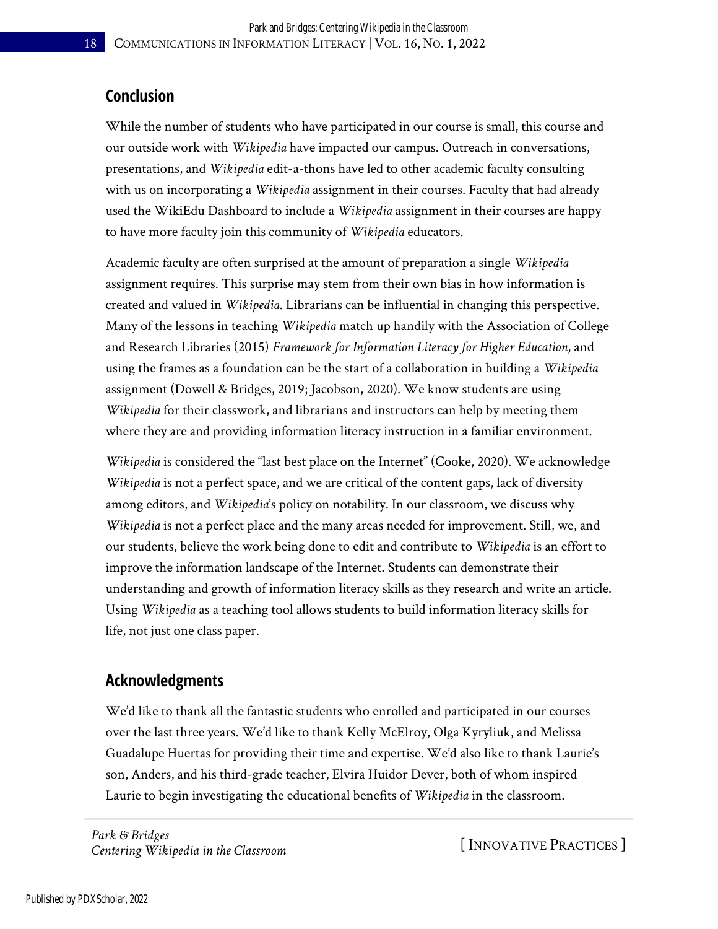## **Conclusion**

While the number of students who have participated in our course is small, this course and our outside work with *Wikipedia* have impacted our campus. Outreach in conversations, presentations, and *Wikipedia* edit-a-thons have led to other academic faculty consulting with us on incorporating a *Wikipedia* assignment in their courses. Faculty that had already used the WikiEdu Dashboard to include a *Wikipedia* assignment in their courses are happy to have more faculty join this community of *Wikipedia* educators.

Academic faculty are often surprised at the amount of preparation a single *Wikipedia* assignment requires. This surprise may stem from their own bias in how information is created and valued in *Wikipedia*. Librarians can be influential in changing this perspective. Many of the lessons in teaching *Wikipedia* match up handily with the Association of College and Research Libraries (2015) *Framework for Information Literacy for Higher Education*, and using the frames as a foundation can be the start of a collaboration in building a *Wikipedia* assignment (Dowell & Bridges, 2019; Jacobson, 2020). We know students are using *Wikipedia* for their classwork, and librarians and instructors can help by meeting them where they are and providing information literacy instruction in a familiar environment.

*Wikipedia* is considered the "last best place on the Internet" (Cooke, 2020). We acknowledge *Wikipedia* is not a perfect space, and we are critical of the content gaps, lack of diversity among editors, and *Wikipedia*'s policy on notability. In our classroom, we discuss why *Wikipedia* is not a perfect place and the many areas needed for improvement. Still, we, and our students, believe the work being done to edit and contribute to *Wikipedia* is an effort to improve the information landscape of the Internet. Students can demonstrate their understanding and growth of information literacy skills as they research and write an article. Using *Wikipedia* as a teaching tool allows students to build information literacy skills for life, not just one class paper.

## **Acknowledgments**

We'd like to thank all the fantastic students who enrolled and participated in our courses over the last three years. We'd like to thank Kelly McElroy, Olga Kyryliuk, and Melissa Guadalupe Huertas for providing their time and expertise. We'd also like to thank Laurie's son, Anders, and his third-grade teacher, Elvira Huidor Dever, both of whom inspired Laurie to begin investigating the educational benefits of *Wikipedia* in the classroom.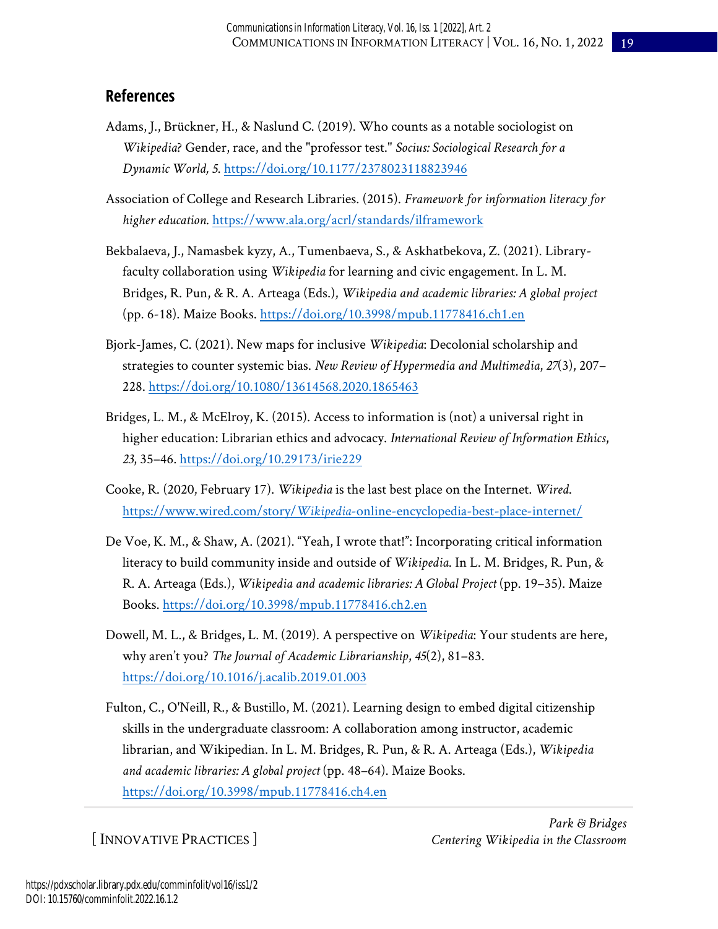## **References**

- Adams, J., Brückner, H., & Naslund C. (2019). Who counts as a notable sociologist on *Wikipedia*? Gender, race, and the "professor test." *Socius: Sociological Research for a Dynamic World, 5*. <https://doi.org/10.1177/2378023118823946>
- Association of College and Research Libraries. (2015). *Framework for information literacy for higher education*.<https://www.ala.org/acrl/standards/ilframework>
- Bekbalaeva, J., Namasbek kyzy, A., Tumenbaeva, S., & Askhatbekova, Z. (2021). Libraryfaculty collaboration using *Wikipedia* for learning and civic engagement. In L. M. Bridges, R. Pun, & R. A. Arteaga (Eds.), *Wikipedia and academic libraries: A global project* (pp. 6-18). Maize Books.<https://doi.org/10.3998/mpub.11778416.ch1.en>
- Bjork-James, C. (2021). New maps for inclusive *Wikipedia*: Decolonial scholarship and strategies to counter systemic bias. *New Review of Hypermedia and Multimedia*, *27*(3), 207– 228.<https://doi.org/10.1080/13614568.2020.1865463>
- Bridges, L. M., & McElroy, K. (2015). Access to information is (not) a universal right in higher education: Librarian ethics and advocacy. *International Review of Information Ethics*, *23*, 35–46.<https://doi.org/10.29173/irie229>
- Cooke, R. (2020, February 17). *Wikipedia* is the last best place on the Internet. *Wired*. https://www.wired.com/story/*Wikipedia*[-online-encyclopedia-best-place-internet/](https://www.wired.com/story/wikipedia-online-encyclopedia-best-place-internet/)
- De Voe, K. M., & Shaw, A. (2021). "Yeah, I wrote that!": Incorporating critical information literacy to build community inside and outside of *Wikipedia*. In L. M. Bridges, R. Pun, & R. A. Arteaga (Eds.), *Wikipedia and academic libraries: A Global Project* (pp. 19–35). Maize Books[. https://doi.org/10.3998/mpub.11778416.ch2.en](https://doi.org/10.3998/mpub.11778416.ch2.en)
- Dowell, M. L., & Bridges, L. M. (2019). A perspective on *Wikipedia*: Your students are here, why aren't you? *The Journal of Academic Librarianship*, *45*(2), 81–83. <https://doi.org/10.1016/j.acalib.2019.01.003>
- Fulton, C., O'Neill, R., & Bustillo, M. (2021). Learning design to embed digital citizenship skills in the undergraduate classroom: A collaboration among instructor, academic librarian, and Wikipedian. In L. M. Bridges, R. Pun, & R. A. Arteaga (Eds.), *Wikipedia and academic libraries: A global project* (pp. 48–64). Maize Books. <https://doi.org/10.3998/mpub.11778416.ch4.en>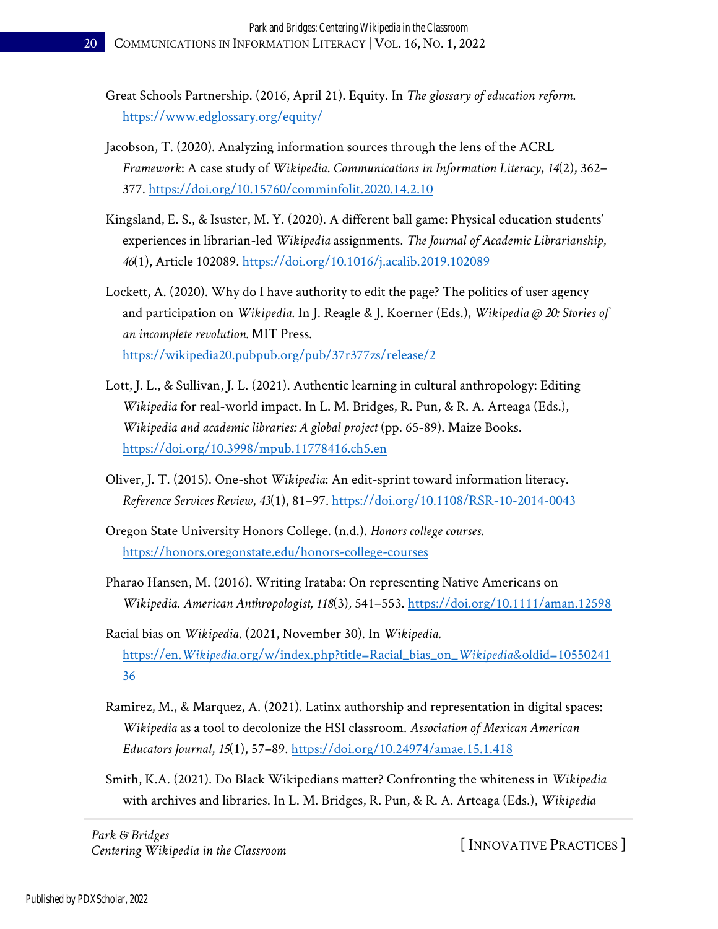- Great Schools Partnership. (2016, April 21). Equity. In *The glossary of education reform*. <https://www.edglossary.org/equity/>
- Jacobson, T. (2020). Analyzing information sources through the lens of the ACRL *Framework*: A case study of *Wikipedia*. *Communications in Information Literacy*, *14*(2), 362– 377.<https://doi.org/10.15760/comminfolit.2020.14.2.10>
- Kingsland, E. S., & Isuster, M. Y. (2020). A different ball game: Physical education students' experiences in librarian-led *Wikipedia* assignments. *The Journal of Academic Librarianship*, *46*(1), Article 102089.<https://doi.org/10.1016/j.acalib.2019.102089>
- Lockett, A. (2020). Why do I have authority to edit the page? The politics of user agency and participation on *Wikipedia*. In J. Reagle & J. Koerner (Eds.), *Wikipedia @ 20: Stories of an incomplete revolution.* MIT Press. <https://wikipedia20.pubpub.org/pub/37r377zs/release/2>
- Lott, J. L., & Sullivan, J. L. (2021). Authentic learning in cultural anthropology: Editing *Wikipedia* for real-world impact. In L. M. Bridges, R. Pun, & R. A. Arteaga (Eds.), *Wikipedia and academic libraries: A global project* (pp. 65-89). Maize Books. <https://doi.org/10.3998/mpub.11778416.ch5.en>
- Oliver, J. T. (2015). One-shot *Wikipedia*: An edit-sprint toward information literacy. *Reference Services Review*, *43*(1), 81–97.<https://doi.org/10.1108/RSR-10-2014-0043>
- Oregon State University Honors College. (n.d.). *Honors college courses*. <https://honors.oregonstate.edu/honors-college-courses>
- Pharao Hansen, M. (2016). Writing Irataba: On representing Native Americans on *Wikipedia*. *American Anthropologist, 118*(3)*,* 541–553.<https://doi.org/10.1111/aman.12598>
- Racial bias on *Wikipedia*. (2021, November 30). In *Wikipedia.*  https://en.*Wikipedia*[.org/w/index.php?title=Racial\\_bias\\_on\\_](https://en.wikipedia.org/w/index.php?title=Racial_bias_on_Wikipedia&oldid=1055024136)*Wikipedia*&oldid=10550241 [36](https://en.wikipedia.org/w/index.php?title=Racial_bias_on_Wikipedia&oldid=1055024136)
- Ramirez, M., & Marquez, A. (2021). Latinx authorship and representation in digital spaces: *Wikipedia* as a tool to decolonize the HSI classroom. *Association of Mexican American Educators Journal*, *15*(1), 57–89.<https://doi.org/10.24974/amae.15.1.418>
- Smith, K.A. (2021). Do Black Wikipedians matter? Confronting the whiteness in *Wikipedia* with archives and libraries. In L. M. Bridges, R. Pun, & R. A. Arteaga (Eds.), *Wikipedia*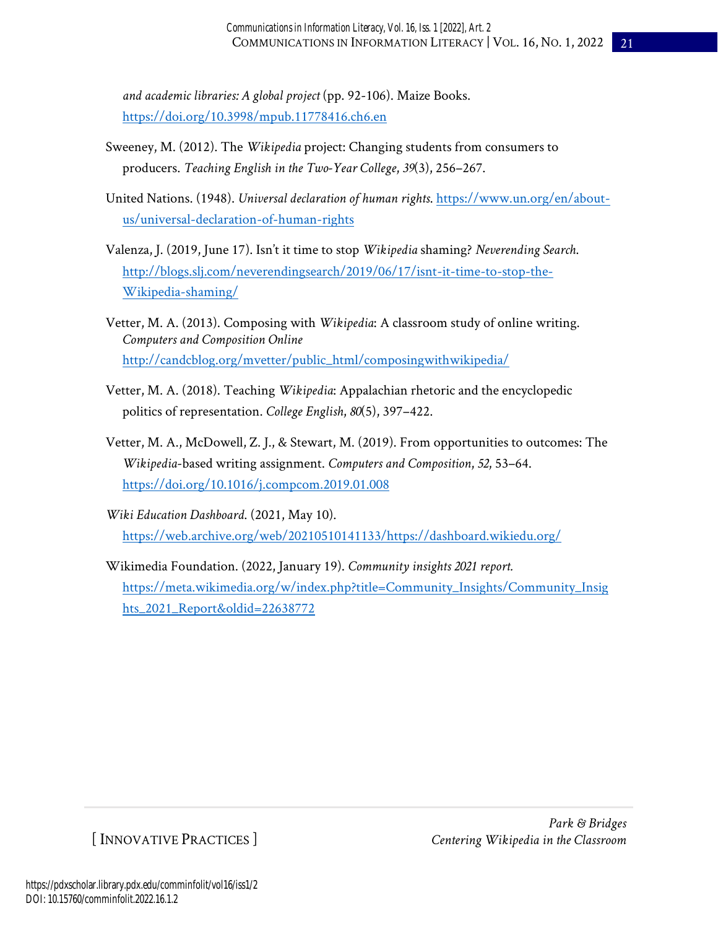*and academic libraries: A global project* (pp. 92-106). Maize Books. <https://doi.org/10.3998/mpub.11778416.ch6.en>

- Sweeney, M. (2012). The *Wikipedia* project: Changing students from consumers to producers. *Teaching English in the Two-Year College*, *39*(3), 256–267.
- United Nations. (1948). *Universal declaration of human rights*. [https://www.un.org/en/about](https://www.un.org/en/about-us/universal-declaration-of-human-rights)[us/universal-declaration-of-human-rights](https://www.un.org/en/about-us/universal-declaration-of-human-rights)
- Valenza, J. (2019, June 17). Isn't it time to stop *Wikipedia* shaming? *Neverending Search*. [http://blogs.slj.com/neverendingsearch/2019/06/17/isnt-it-time-to-stop-the-](http://blogs.slj.com/neverendingsearch/2019/06/17/isnt-it-time-to-stop-the-wikipedia-shaming/)[Wikipedia-shaming/](http://blogs.slj.com/neverendingsearch/2019/06/17/isnt-it-time-to-stop-the-wikipedia-shaming/)
- Vetter, M. A. (2013). Composing with *Wikipedia*: A classroom study of online writing. *Computers and Composition Online* [http://candcblog.org/mvetter/public\\_html/composingwithwikipedia/](http://candcblog.org/mvetter/public_html/composingwithwikipedia/)
- Vetter, M. A. (2018). Teaching *Wikipedia*: Appalachian rhetoric and the encyclopedic politics of representation. *College English*, *80*(5), 397–422.
- Vetter, M. A., McDowell, Z. J., & Stewart, M. (2019). From opportunities to outcomes: The *Wikipedia*-based writing assignment. *Computers and Composition*, *52*, 53–64. <https://doi.org/10.1016/j.compcom.2019.01.008>
- *Wiki Education Dashboard*. (2021, May 10). [https://web.archive.org/web/20210510141133/https://dashboard.wikiedu.org/](https://web.archive.org/web/20210510141133/https:/dashboard.wikiedu.org/)
- Wikimedia Foundation. (2022, January 19). *Community insights 2021 report.* [https://meta.wikimedia.org/w/index.php?title=Community\\_Insights/Community\\_Insig](https://meta.wikimedia.org/w/index.php?title=Community_Insights/Community_Insights_2021_Report&oldid=22638772) [hts\\_2021\\_Report&oldid=22638772](https://meta.wikimedia.org/w/index.php?title=Community_Insights/Community_Insights_2021_Report&oldid=22638772)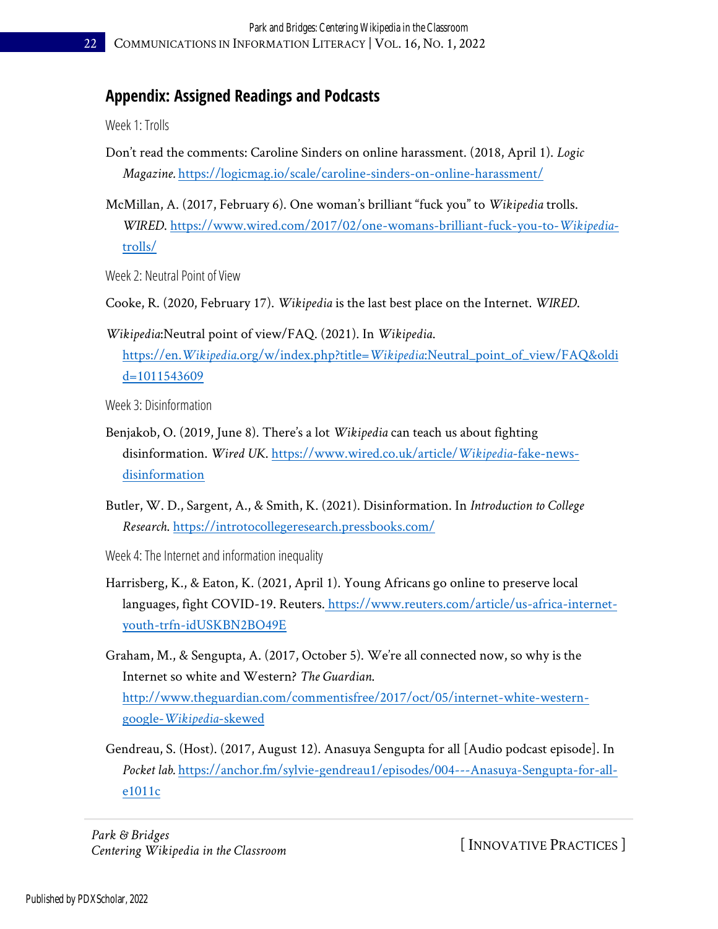## **Appendix: Assigned Readings and Podcasts**

Week 1: Trolls

- Don't read the comments: Caroline Sinders on online harassment. (2018, April 1). *Logic Magazine.* <https://logicmag.io/scale/caroline-sinders-on-online-harassment/>
- McMillan, A. (2017, February 6). One woman's brilliant "fuck you" to *Wikipedia* trolls. *WIRED*. [https://www.wired.com/2017/02/one-womans-brilliant-fuck-you-to-](https://www.wired.com/2017/02/one-womans-brilliant-fuck-you-to-wikipedia-trolls/)*Wikipedia*[trolls/](https://www.wired.com/2017/02/one-womans-brilliant-fuck-you-to-wikipedia-trolls/)

Week 2: Neutral Point of View

Cooke, R. (2020, February 17). *Wikipedia* is the last best place on the Internet. *WIRED*.

*Wikipedia*:Neutral point of view/FAQ. (2021). In *Wikipedia*. https://en.*Wikipedia*.org/w/index.php?title=*Wikipedia*[:Neutral\\_point\\_of\\_view/FAQ&oldi](https://en.wikipedia.org/w/index.php?title=Wikipedia:Neutral_point_of_view/FAQ&oldid=1011543609%20%20) [d=1011543609](https://en.wikipedia.org/w/index.php?title=Wikipedia:Neutral_point_of_view/FAQ&oldid=1011543609%20%20) 

Week 3: Disinformation

- Benjakob, O. (2019, June 8). There's a lot *Wikipedia* can teach us about fighting disinformation. *Wired UK*. [https://www.wired.co.uk/article/](https://www.wired.co.uk/article/wikipedia-fake-news-disinformation)*Wikipedia*-fake-news[disinformation](https://www.wired.co.uk/article/wikipedia-fake-news-disinformation)
- Butler, W. D., Sargent, A., & Smith, K. (2021). Disinformation. In *Introduction to College Research*.<https://introtocollegeresearch.pressbooks.com/>
- Week 4: The Internet and information inequality
- Harrisberg, K., & Eaton, K. (2021, April 1). Young Africans go online to preserve local languages, fight COVID-19. Reuters. [https://www.reuters.com/article/us-africa-internet](https://www.reuters.com/article/us-africa-internet-youth-trfn-idUSKBN2BO49E)[youth-trfn-idUSKBN2BO49E](https://www.reuters.com/article/us-africa-internet-youth-trfn-idUSKBN2BO49E)
- Graham, M., & Sengupta, A. (2017, October 5). We're all connected now, so why is the Internet so white and Western? *The Guardian*. [http://www.theguardian.com/commentisfree/2017/oct/05/internet-white-western](http://www.theguardian.com/commentisfree/2017/oct/05/internet-white-western-google-wikipedia-skewed)google-*[Wikipedia](http://www.theguardian.com/commentisfree/2017/oct/05/internet-white-western-google-wikipedia-skewed)*-skewed
- Gendreau, S. (Host). (2017, August 12). Anasuya Sengupta for all [Audio podcast episode]. In *Pocket lab.* [https://anchor.fm/sylvie-gendreau1/episodes/004---Anasuya-Sengupta-for-all](https://anchor.fm/sylvie-gendreau1/episodes/004---Anasuya-Sengupta-for-all-e1011c)[e1011c](https://anchor.fm/sylvie-gendreau1/episodes/004---Anasuya-Sengupta-for-all-e1011c)